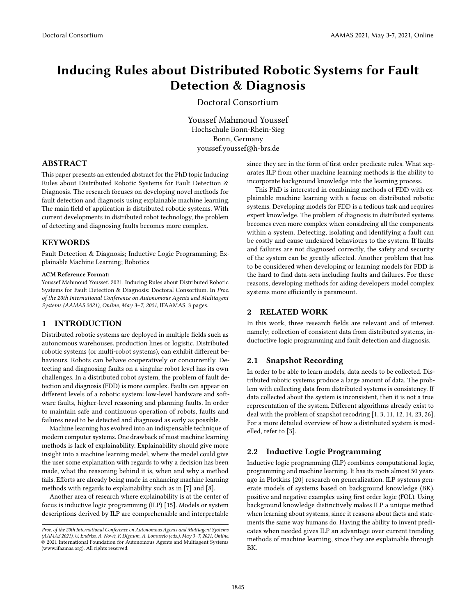# Inducing Rules about Distributed Robotic Systems for Fault Detection & Diagnosis

Doctoral Consortium

Youssef Mahmoud Youssef Hochschule Bonn-Rhein-Sieg Bonn, Germany youssef.youssef@h-brs.de

# ABSTRACT

This paper presents an extended abstract for the PhD topic Inducing Rules about Distributed Robotic Systems for Fault Detection & Diagnosis. The research focuses on developing novel methods for fault detection and diagnosis using explainable machine learning. The main field of application is distributed robotic systems. With current developments in distributed robot technology, the problem of detecting and diagnosing faults becomes more complex.

## **KEYWORDS**

Fault Detection & Diagnosis; Inductive Logic Programming; Explainable Machine Learning; Robotics

#### ACM Reference Format:

Youssef Mahmoud Youssef. 2021. Inducing Rules about Distributed Robotic Systems for Fault Detection & Diagnosis: Doctoral Consortium. In Proc. of the 20th International Conference on Autonomous Agents and Multiagent Systems (AAMAS 2021), Online, May 3–7, 2021, IFAAMAS, [3](#page-2-0) pages.

## 1 INTRODUCTION

Distributed robotic systems are deployed in multiple fields such as autonomous warehouses, production lines or logistic. Distributed robotic systems (or multi-robot systems), can exhibit different behaviours. Robots can behave cooperatively or concurrently. Detecting and diagnosing faults on a singular robot level has its own challenges. In a distributed robot system, the problem of fault detection and diagnosis (FDD) is more complex. Faults can appear on different levels of a robotic system: low-level hardware and software faults, higher-level reasoning and planning faults. In order to maintain safe and continuous operation of robots, faults and failures need to be detected and diagnosed as early as possible.

Machine learning has evolved into an indispensable technique of modern computer systems. One drawback of most machine learning methods is lack of explainability. Explainability should give more insight into a machine learning model, where the model could give the user some explanation with regards to why a decision has been made, what the reasoning behind it is, when and why a method fails. Efforts are already being made in enhancing machine learning methods with regards to explainability such as in [\[7\]](#page-2-1) and [\[8\]](#page-2-2).

Another area of research where explainability is at the center of focus is inductive logic programming (ILP) [\[15\]](#page-2-3). Models or system descriptions derived by ILP are comprehensible and interpretable

since they are in the form of first order predicate rules. What separates ILP from other machine learning methods is the ability to incorporate background knowledge into the learning process.

This PhD is interested in combining methods of FDD with explainable machine learning with a focus on distributed robotic systems. Developing models for FDD is a tedious task and requires expert knowledge. The problem of diagnosis in distributed systems becomes even more complex when considreing all the components within a system. Detecting, isolating and identifying a fault can be costly and cause undesired behaviours to the system. If faults and failures are not diagnosed correctly, the safety and security of the system can be greatly affected. Another problem that has to be considered when developing or learning models for FDD is the hard to find data-sets including faults and failures. For these reasons, developing methods for aiding developers model complex systems more efficiently is paramount.

# 2 RELATED WORK

In this work, three research fields are relevant and of interest, namely; collection of consistent data from distributed systems, inductuctive logic programming and fault detection and diagnosis.

#### 2.1 Snapshot Recording

In order to be able to learn models, data needs to be collected. Distributed robotic systems produce a large amount of data. The problem with collecting data from distributed systems is consistency. If data collected about the system is inconsistent, then it is not a true representation of the system. Different algorithms already exist to deal with the problem of snapshot recodring [\[1,](#page-1-0) [3,](#page-1-1) [11,](#page-2-4) [12,](#page-2-5) [14,](#page-2-6) [23,](#page-2-7) [26\]](#page-2-8). For a more detailed overview of how a distributed system is modelled, refer to [\[3\]](#page-1-1).

# 2.2 Inductive Logic Programming

Inductive logic programming (ILP) combines computational logic, programming and machine learning. It has its roots almost 50 years ago in Plotkins [\[20\]](#page-2-9) research on generalization. ILP systems generate models of systems based on background knowledge (BK), positive and negative examples using first order logic (FOL). Using background knowledge distinctively makes ILP a unique method when learning about systems, since it reasons about facts and statements the same way humans do. Having the ability to invent predicates when needed gives ILP an advantage over current trending methods of machine learning, since they are explainable through BK.

Proc. of the 20th International Conference on Autonomous Agents and Multiagent Systems (AAMAS 2021), U. Endriss, A. Nowé, F. Dignum, A. Lomuscio (eds.), May 3–7, 2021, Online.  $\circledcirc$  2021 International Foundation for Autonomous Agents and Multiagent Systems (www.ifaamas.org). All rights reserved.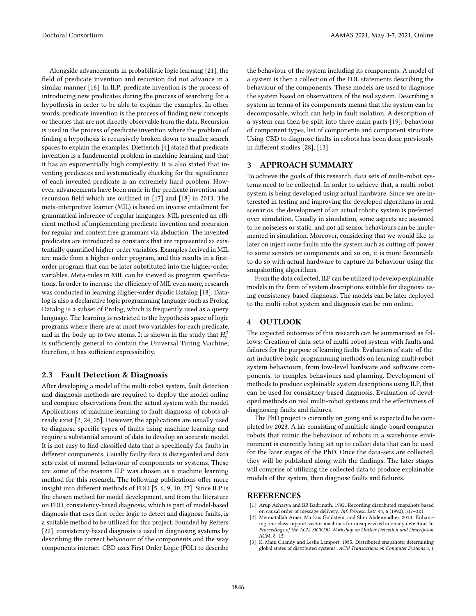Alongside advancements in probabilistic logic learning [\[21\]](#page-2-10), the field of predicate invention and recursion did not advance in a similar manner [\[16\]](#page-2-11). In ILP, predicate invention is the process of introducing new predicates during the process of searching for a hypothesis in order to be able to explain the examples. In other words, predicate invention is the process of finding new concepts or theories that are not directly observable from the data. Recursion is used in the process of predicate invention where the problem of finding a hypothesis is recursively broken down to smaller search spaces to explain the examples. Dietterich [\[4\]](#page-2-12) stated that predicate invention is a fundemental problem in machine learning and that it has an exponentially high complexity. It is also stated that inventing predicates and systematically checking for the significance of each invented predicate is an extremely hard problem. However, advancements have been made in the predicate invention and recursion field which are outlined in [\[17\]](#page-2-13) and [\[18\]](#page-2-14) in 2013. The meta-interpretive learner (MIL) is based on inverse entailment for grammatical inference of regular languages. MIL presented an efficient method of implementing predicate invention and recursion for regular and context free grammars via abduction. The invented predicates are introduced as constants that are represented as existentially quantified higher-order variables. Examples derived in MIL are made from a higher-order program, and this results in a firstorder program that can be later substituted into the higher-order variables. Meta-rules in MIL can be viewed as program specifications. In order to increase the efficiency of MIL even more, research was conducted in learning Higher-order dyadic Datalog [\[18\]](#page-2-14). Datalog is also a declarative logic programming language such as Prolog. Datalog is a subset of Prolog, which is frequently used as a query language. The learning is restricted to the hypothesis space of logic programs where there are at most two variables for each predicate, and in the body up to two atoms. It is shown in the study that  $H_2^2$ is sufficiently general to contain the Universal Turing Machine; therefore, it has sufficient expressibility.

## 2.3 Fault Detection & Diagnosis

After developing a model of the multi-robot system, fault detection and diagnosis methods are required to deploy the model online and compare observations from the actual system with the model. Applications of machine learning to fault diagnosis of robots already exist [\[2,](#page-1-2) [24,](#page-2-15) [25\]](#page-2-16). However, the applications are usually used to diagnose specific types of faults using machine learning and require a substantial amount of data to develop an accurate model. It is not easy to find classified data that is specifically for faults in different components. Usually faulty data is disregarded and data sets exist of normal behaviour of components or systems. These are some of the reasons ILP was chosen as a machine learning method for this research. The following publications offer more insight into different methods of FDD [\[5,](#page-2-17) [6,](#page-2-18) [9,](#page-2-19) [10,](#page-2-20) [27\]](#page-2-21). Since ILP is the chosen method for model development, and from the literature on FDD, consistency-based diagnosis, which is part of model-based diagnosis that uses first-order logic to detect and diagnose faults, is a suitable method to be utilized for this project. Founded by Reiters [\[22\]](#page-2-22), consistency-based diagnosis is used in diagnosing systems by describing the correct behaviour of the components and the way components interact. CBD uses First Order Logic (FOL) to describe

the behaviour of the system including its components. A model of a system is then a collection of the FOL statements describing the behaviour of the components. These models are used to diagnose the system based on observations of the real system. Describing a system in terms of its components means that the system can be decomposable, which can help in fault isolation. A description of a system can then be split into three main parts [\[19\]](#page-2-23); behaviour of component types, list of components and component structure. Using CBD to diagnose faults in robots has been done previously in different studies [\[28\]](#page-2-24), [\[13\]](#page-2-25).

## 3 APPROACH SUMMARY

To achieve the goals of this research, data sets of multi-robot systems need to be collected. In order to achieve that, a multi-robot system is being developed using actual hardware. Since we are interested in testing and improving the developed algorithms in real scenarios, the development of an actual robotic system is preferred over simulation. Usually in simulation, some aspects are assumed to be noiseless or static, and not all sensor behaviours can be implemented in simulation. Moreover, considering that we would like to later on inject some faults into the system such as cutting off power to some sensors or components and so on, it is more favourable to do so with actual hardware to capture its behaviour using the snapshotting algorithms.

From the data collected, ILP can be utilized to develop explainable models in the form of system descriptions suitable for diagnosis using consistency-based diagnosis. The models can be later deployed to the multi-robot system and diagnosis can be run online.

## 4 OUTLOOK

The expected outcomes of this research can be summarized as follows: Creation of data-sets of multi-robot system with faults and failures for the purpose of learning faults. Evaluation of state-of-theart inductive logic programming methods on learning multi-robot system behaviours, from low-level hardware and software components, to complex behaviours and planning. Development of methods to produce explainable system descriptions using ILP, that can be used for consistncy-based diagnosis. Evaluation of developed methods on real multi-robot systems and the effectivness of diagnosing faults and failures.

The PhD project is currently on going and is expected to be completed by 2023. A lab consisting of multiple single-board computer robots that mimic the behaviour of robots in a warehouse environment is currently being set up to collect data that can be used for the later stages of the PhD. Once the data-sets are collected, they will be published along with the findings. The later stages will comprise of utilizing the collected data to produce explainable models of the system, then diagnose faults and failures.

## REFERENCES

- <span id="page-1-0"></span>Arup Acharya and BR Badrinath. 1992. Recording distributed snapshots based on causal order of message delivery. Inf. Process. Lett. 44, 6 (1992), 317–321.
- <span id="page-1-2"></span>Mennatallah Amer, Markus Goldstein, and Slim Abdennadher. 2013. Enhancing one-class support vector machines for unsupervised anomaly detection. In Proceedings of the ACM SIGKDD Workshop on Outlier Detection and Description. ACM, 8–15.
- <span id="page-1-1"></span>[3] K. Mani Chandy and Leslie Lamport. 1985. Distributed snapshots: determining global states of distributed systems. ACM Transactions on Computer Systems 3, 1